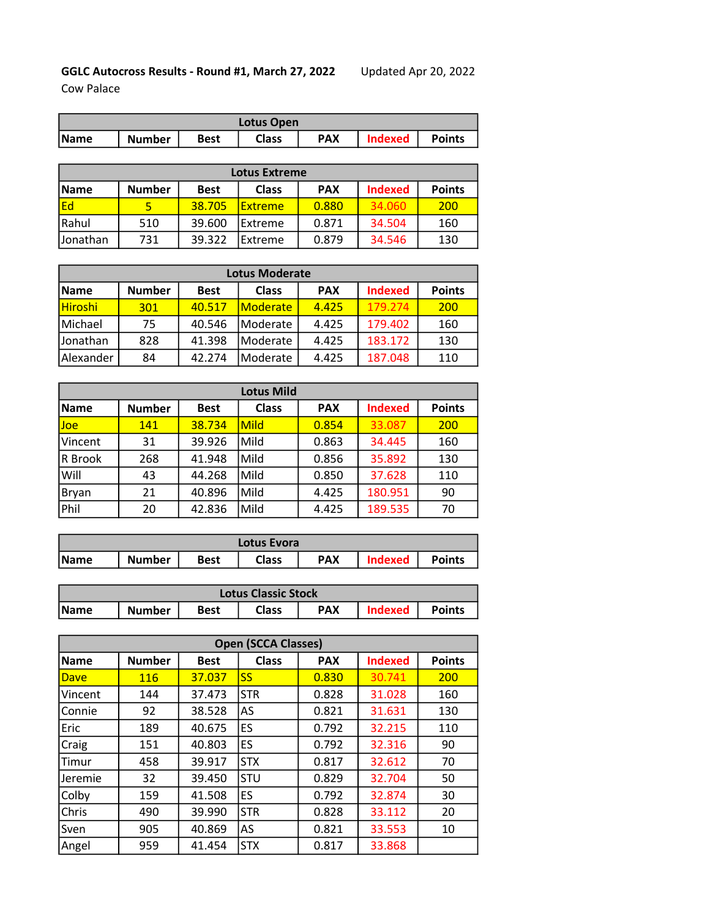## GGLC Autocross Results - Round #1, March 27, 2022 Updated Apr 20, 2022

Cow Palace

| Lotus Open |               |             |              |            |                |               |  |
|------------|---------------|-------------|--------------|------------|----------------|---------------|--|
| Name       | <b>Number</b> | <b>Best</b> | <b>Class</b> | <b>PAX</b> | <b>Indexed</b> | <b>Points</b> |  |

| <b>Lotus Extreme</b> |               |             |                |            |                |               |  |  |
|----------------------|---------------|-------------|----------------|------------|----------------|---------------|--|--|
| <b>Name</b>          | <b>Number</b> | <b>Best</b> | <b>Class</b>   | <b>PAX</b> | <b>Indexed</b> | <b>Points</b> |  |  |
| lEd                  |               | 38.705      | <b>Extreme</b> | 0.880      | 34.060         | 200           |  |  |
| Rahul                | 510           | 39.600      | Extreme        | 0.871      | 34.504         | 160           |  |  |
| <b>Jonathan</b>      | 731           | 39.322      | Extreme        | 0.879      | 34.546         | 130           |  |  |

| <b>Lotus Moderate</b> |               |             |                 |            |                |               |  |  |
|-----------------------|---------------|-------------|-----------------|------------|----------------|---------------|--|--|
| <b>Name</b>           | <b>Number</b> | <b>Best</b> | <b>Class</b>    | <b>PAX</b> | <b>Indexed</b> | <b>Points</b> |  |  |
| Hiroshi               | 301           | 40.517      | <b>Moderate</b> | 4.425      | 179.274        | 200           |  |  |
| Michael               | 75            | 40.546      | Moderate        | 4.425      | 179.402        | 160           |  |  |
| Jonathan              | 828           | 41.398      | Moderate        | 4.425      | 183.172        | 130           |  |  |
| Alexander             | 84            | 42.274      | Moderate        | 4.425      | 187.048        | 110           |  |  |

| <b>Lotus Mild</b> |               |             |              |            |                |               |  |  |
|-------------------|---------------|-------------|--------------|------------|----------------|---------------|--|--|
| <b>Name</b>       | <b>Number</b> | <b>Best</b> | <b>Class</b> | <b>PAX</b> | <b>Indexed</b> | <b>Points</b> |  |  |
| Joe               | 141           | 38.734      | Mild         | 0.854      | 33.087         | 200           |  |  |
| Vincent           | 31            | 39.926      | Mild         | 0.863      | 34.445         | 160           |  |  |
| R Brook           | 268           | 41.948      | Mild         | 0.856      | 35.892         | 130           |  |  |
| Will              | 43            | 44.268      | Mild         | 0.850      | 37.628         | 110           |  |  |
| Bryan             | 21            | 40.896      | Mild         | 4.425      | 180.951        | 90            |  |  |
| Phil              | 20            | 42.836      | Mild         | 4.425      | 189.535        | 70            |  |  |

| Lotus Evora |               |      |       |            |         |               |  |
|-------------|---------------|------|-------|------------|---------|---------------|--|
| <b>Name</b> | <b>Number</b> | Best | Class | <b>PAX</b> | Indexed | <b>Points</b> |  |

| <b>Lotus Classic Stock</b> |               |      |       |            |                |               |  |
|----------------------------|---------------|------|-------|------------|----------------|---------------|--|
| <b>Name</b>                | <b>Number</b> | Best | Class | <b>PAX</b> | <b>Indexed</b> | <b>Points</b> |  |

| <b>Open (SCCA Classes)</b> |               |             |              |            |                |               |  |  |
|----------------------------|---------------|-------------|--------------|------------|----------------|---------------|--|--|
| <b>Name</b>                | <b>Number</b> | <b>Best</b> | <b>Class</b> | <b>PAX</b> | <b>Indexed</b> | <b>Points</b> |  |  |
| Dave                       | 116           | 37.037      | <b>SS</b>    | 0.830      | 30.741         | 200           |  |  |
| Vincent                    | 144           | 37.473      | <b>STR</b>   | 0.828      | 31.028         | 160           |  |  |
| Connie                     | 92            | 38.528      | AS           | 0.821      | 31.631         | 130           |  |  |
| Eric                       | 189           | 40.675      | ES           | 0.792      | 32.215         | 110           |  |  |
| Craig                      | 151           | 40.803      | ES           | 0.792      | 32.316         | 90            |  |  |
| Timur                      | 458           | 39.917      | <b>STX</b>   | 0.817      | 32.612         | 70            |  |  |
| Jeremie                    | 32            | 39.450      | <b>STU</b>   | 0.829      | 32.704         | 50            |  |  |
| Colby                      | 159           | 41.508      | ES           | 0.792      | 32.874         | 30            |  |  |
| Chris                      | 490           | 39.990      | <b>STR</b>   | 0.828      | 33.112         | 20            |  |  |
| Sven                       | 905           | 40.869      | AS           | 0.821      | 33.553         | 10            |  |  |
| Angel                      | 959           | 41.454      | <b>STX</b>   | 0.817      | 33.868         |               |  |  |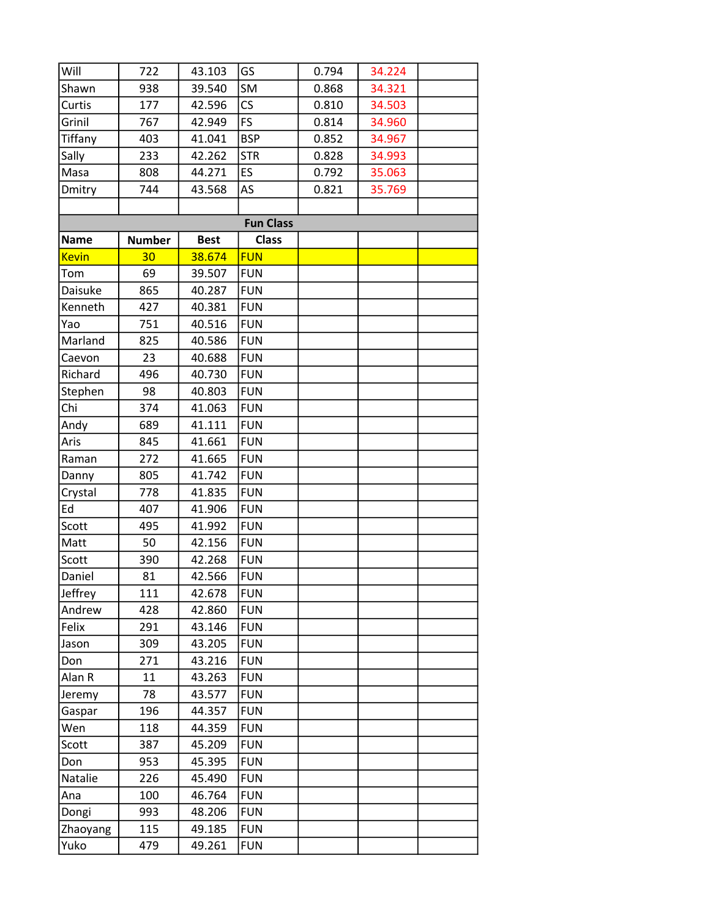| Will         | 722           | 43.103      | GS                       | 0.794 | 34.224 |  |
|--------------|---------------|-------------|--------------------------|-------|--------|--|
| Shawn        | 938           | 39.540      | SM                       | 0.868 | 34.321 |  |
| Curtis       | 177           | 42.596      | $\mathsf{CS}\phantom{0}$ | 0.810 | 34.503 |  |
| Grinil       | 767           | 42.949      | <b>FS</b>                | 0.814 | 34.960 |  |
| Tiffany      | 403           | 41.041      | <b>BSP</b>               | 0.852 | 34.967 |  |
| Sally        | 233           | 42.262      | <b>STR</b>               | 0.828 | 34.993 |  |
| Masa         | 808           | 44.271      | ES                       | 0.792 | 35.063 |  |
| Dmitry       | 744           | 43.568      | AS                       | 0.821 | 35.769 |  |
|              |               |             |                          |       |        |  |
|              |               |             | <b>Fun Class</b>         |       |        |  |
| <b>Name</b>  | <b>Number</b> | <b>Best</b> | <b>Class</b>             |       |        |  |
| <b>Kevin</b> | 30            | 38.674      | <b>FUN</b>               |       |        |  |
| Tom          | 69            | 39.507      | <b>FUN</b>               |       |        |  |
| Daisuke      | 865           | 40.287      | <b>FUN</b>               |       |        |  |
| Kenneth      | 427           | 40.381      | <b>FUN</b>               |       |        |  |
| Yao          | 751           | 40.516      | <b>FUN</b>               |       |        |  |
| Marland      | 825           | 40.586      | <b>FUN</b>               |       |        |  |
| Caevon       | 23            | 40.688      | <b>FUN</b>               |       |        |  |
| Richard      | 496           | 40.730      | <b>FUN</b>               |       |        |  |
| Stephen      | 98            | 40.803      | <b>FUN</b>               |       |        |  |
| Chi          | 374           | 41.063      | <b>FUN</b>               |       |        |  |
| Andy         | 689           | 41.111      | <b>FUN</b>               |       |        |  |
| Aris         | 845           | 41.661      | <b>FUN</b>               |       |        |  |
| Raman        | 272           | 41.665      | <b>FUN</b>               |       |        |  |
| Danny        | 805           | 41.742      | <b>FUN</b>               |       |        |  |
| Crystal      | 778           | 41.835      | <b>FUN</b>               |       |        |  |
| Ed           | 407           | 41.906      | <b>FUN</b>               |       |        |  |
| Scott        | 495           | 41.992      | <b>FUN</b>               |       |        |  |
| Matt         | 50            | 42.156      | <b>FUN</b>               |       |        |  |
| Scott        | 390           | 42.268      | <b>FUN</b>               |       |        |  |
| Daniel       | 81            | 42.566      | <b>FUN</b>               |       |        |  |
| Jeffrey      | 111           | 42.678      | <b>FUN</b>               |       |        |  |
| Andrew       | 428           | 42.860      | <b>FUN</b>               |       |        |  |
| Felix        | 291           | 43.146      | <b>FUN</b>               |       |        |  |
| Jason        | 309           | 43.205      | <b>FUN</b>               |       |        |  |
| Don          | 271           | 43.216      | <b>FUN</b>               |       |        |  |
| Alan R       | 11            | 43.263      | <b>FUN</b>               |       |        |  |
| Jeremy       | 78            | 43.577      | <b>FUN</b>               |       |        |  |
| Gaspar       | 196           | 44.357      | <b>FUN</b>               |       |        |  |
| Wen          | 118           | 44.359      | <b>FUN</b>               |       |        |  |
| Scott        | 387           | 45.209      | <b>FUN</b>               |       |        |  |
| Don          | 953           | 45.395      | <b>FUN</b>               |       |        |  |
| Natalie      | 226           | 45.490      | <b>FUN</b>               |       |        |  |
| Ana          | 100           | 46.764      | <b>FUN</b>               |       |        |  |
| Dongi        | 993           | 48.206      | <b>FUN</b>               |       |        |  |
| Zhaoyang     | 115           | 49.185      | <b>FUN</b>               |       |        |  |
| Yuko         | 479           | 49.261      | <b>FUN</b>               |       |        |  |